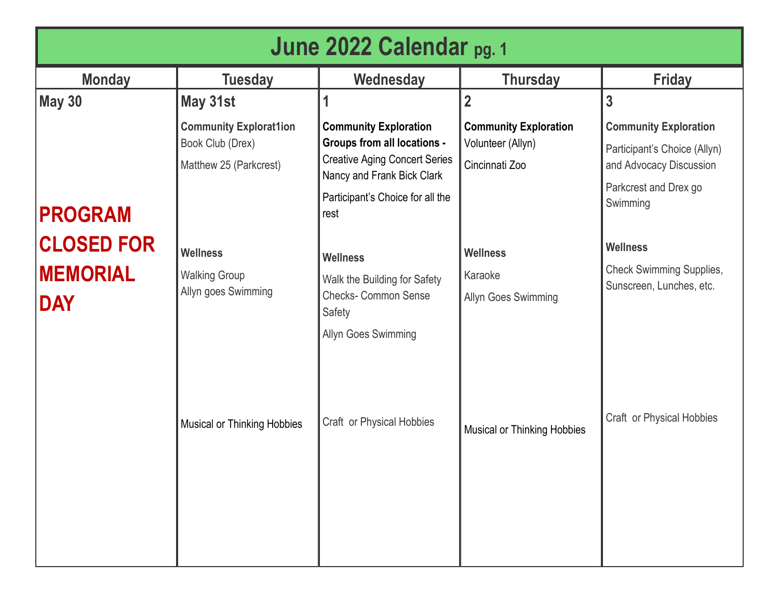| June 2022 Calendar pg. 1                                             |                                                                                                                                                                                     |                                                                                                                                                                                                                                                                                                                                      |                                                                                                                                                                |                                                                                                                                                                                                                                             |  |
|----------------------------------------------------------------------|-------------------------------------------------------------------------------------------------------------------------------------------------------------------------------------|--------------------------------------------------------------------------------------------------------------------------------------------------------------------------------------------------------------------------------------------------------------------------------------------------------------------------------------|----------------------------------------------------------------------------------------------------------------------------------------------------------------|---------------------------------------------------------------------------------------------------------------------------------------------------------------------------------------------------------------------------------------------|--|
| <b>Monday</b>                                                        | <b>Tuesday</b>                                                                                                                                                                      | Wednesday                                                                                                                                                                                                                                                                                                                            | <b>Thursday</b>                                                                                                                                                | <b>Friday</b>                                                                                                                                                                                                                               |  |
| <b>May 30</b>                                                        | May 31st                                                                                                                                                                            |                                                                                                                                                                                                                                                                                                                                      | $\overline{2}$                                                                                                                                                 | 3                                                                                                                                                                                                                                           |  |
| <b>PROGRAM</b><br><b>CLOSED FOR</b><br><b>MEMORIAL</b><br><b>DAY</b> | <b>Community Explorat1ion</b><br>Book Club (Drex)<br>Matthew 25 (Parkcrest)<br><b>Wellness</b><br><b>Walking Group</b><br>Allyn goes Swimming<br><b>Musical or Thinking Hobbies</b> | <b>Community Exploration</b><br><b>Groups from all locations -</b><br><b>Creative Aging Concert Series</b><br>Nancy and Frank Bick Clark<br>Participant's Choice for all the<br>rest<br><b>Wellness</b><br>Walk the Building for Safety<br><b>Checks- Common Sense</b><br>Safety<br>Allyn Goes Swimming<br>Craft or Physical Hobbies | <b>Community Exploration</b><br>Volunteer (Allyn)<br>Cincinnati Zoo<br><b>Wellness</b><br>Karaoke<br>Allyn Goes Swimming<br><b>Musical or Thinking Hobbies</b> | <b>Community Exploration</b><br>Participant's Choice (Allyn)<br>and Advocacy Discussion<br>Parkcrest and Drex go<br>Swimming<br><b>Wellness</b><br><b>Check Swimming Supplies,</b><br>Sunscreen, Lunches, etc.<br>Craft or Physical Hobbies |  |
|                                                                      |                                                                                                                                                                                     |                                                                                                                                                                                                                                                                                                                                      |                                                                                                                                                                |                                                                                                                                                                                                                                             |  |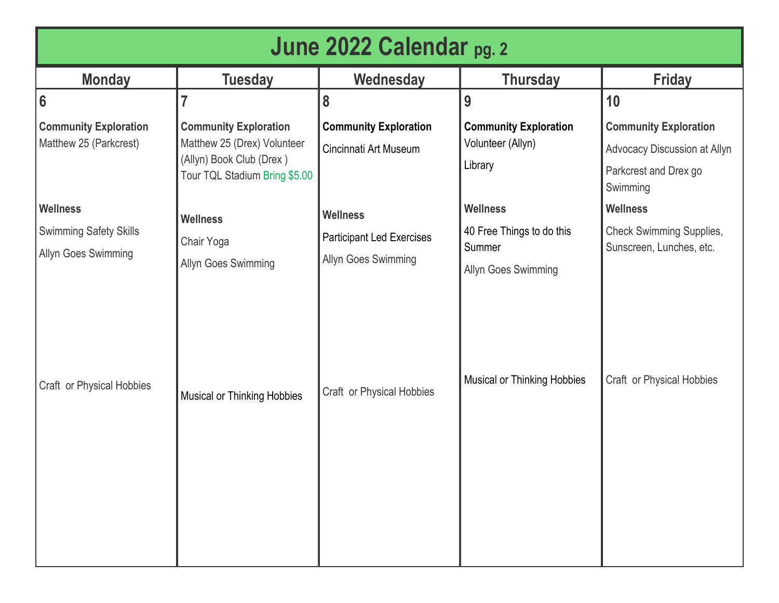| June 2022 Calendar <sub>pg. 2</sub>                                               |                                                                                                                          |                                                         |                                                                                                  |                                                                                                   |
|-----------------------------------------------------------------------------------|--------------------------------------------------------------------------------------------------------------------------|---------------------------------------------------------|--------------------------------------------------------------------------------------------------|---------------------------------------------------------------------------------------------------|
| <b>Monday</b>                                                                     | <b>Tuesday</b>                                                                                                           | Wednesday                                               | <b>Thursday</b>                                                                                  | <b>Friday</b>                                                                                     |
| $6\phantom{1}$                                                                    |                                                                                                                          | 8                                                       | 9                                                                                                | 10                                                                                                |
| <b>Community Exploration</b><br>Matthew 25 (Parkcrest)                            | <b>Community Exploration</b><br>Matthew 25 (Drex) Volunteer<br>(Allyn) Book Club (Drex)<br>Tour TQL Stadium Bring \$5.00 | <b>Community Exploration</b><br>Cincinnati Art Museum   | <b>Community Exploration</b><br>Volunteer (Allyn)<br>Library                                     | <b>Community Exploration</b><br>Advocacy Discussion at Allyn<br>Parkcrest and Drex go<br>Swimming |
| <b>Wellness</b>                                                                   | <b>Wellness</b>                                                                                                          | <b>Wellness</b>                                         | <b>Wellness</b>                                                                                  | <b>Wellness</b>                                                                                   |
| <b>Swimming Safety Skills</b><br>Allyn Goes Swimming<br>Craft or Physical Hobbies | Chair Yoga<br>Allyn Goes Swimming                                                                                        | <b>Participant Led Exercises</b><br>Allyn Goes Swimming | 40 Free Things to do this<br>Summer<br>Allyn Goes Swimming<br><b>Musical or Thinking Hobbies</b> | <b>Check Swimming Supplies,</b><br>Sunscreen, Lunches, etc.<br>Craft or Physical Hobbies          |
|                                                                                   | <b>Musical or Thinking Hobbies</b>                                                                                       | Craft or Physical Hobbies                               |                                                                                                  |                                                                                                   |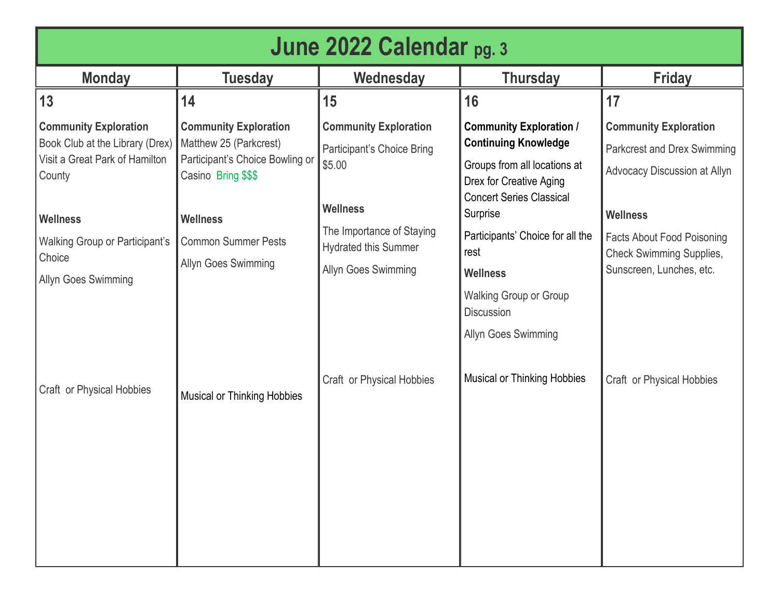| June 2022 Calendar pg. 3                                                                                    |                                                                                                                  |                                                                                        |                                                                                                                          |                                                                                                  |
|-------------------------------------------------------------------------------------------------------------|------------------------------------------------------------------------------------------------------------------|----------------------------------------------------------------------------------------|--------------------------------------------------------------------------------------------------------------------------|--------------------------------------------------------------------------------------------------|
| <b>Monday</b>                                                                                               | <b>Tuesday</b>                                                                                                   | Wednesday                                                                              | <b>Thursday</b>                                                                                                          | <b>Friday</b>                                                                                    |
| 13                                                                                                          | 14                                                                                                               | 15                                                                                     | 16                                                                                                                       | 17                                                                                               |
| <b>Community Exploration</b><br>Book Club at the Library (Drex)<br>Visit a Great Park of Hamilton<br>County | <b>Community Exploration</b><br>Matthew 25 (Parkcrest)<br>Participant's Choice Bowling or<br>Casino Bring \$\$\$ | <b>Community Exploration</b><br>Participant's Choice Bring<br>\$5.00                   | <b>Community Exploration /</b><br><b>Continuing Knowledge</b><br>Groups from all locations at<br>Drex for Creative Aging | <b>Community Exploration</b><br>Parkcrest and Drex Swimming<br>Advocacy Discussion at Allyn      |
| <b>Wellness</b>                                                                                             | <b>Wellness</b>                                                                                                  | <b>Wellness</b>                                                                        | <b>Concert Series Classical</b><br>Surprise                                                                              | <b>Wellness</b>                                                                                  |
| Walking Group or Participant's<br>Choice<br>Allyn Goes Swimming                                             | <b>Common Summer Pests</b><br>Allyn Goes Swimming                                                                | The Importance of Staying<br><b>Hydrated this Summer</b><br><b>Allyn Goes Swimming</b> | Participants' Choice for all the<br>rest<br><b>Wellness</b>                                                              | <b>Facts About Food Poisoning</b><br><b>Check Swimming Supplies,</b><br>Sunscreen, Lunches, etc. |
|                                                                                                             |                                                                                                                  |                                                                                        | <b>Walking Group or Group</b><br><b>Discussion</b><br>Allyn Goes Swimming                                                |                                                                                                  |
| Craft or Physical Hobbies                                                                                   | <b>Musical or Thinking Hobbies</b>                                                                               | Craft or Physical Hobbies                                                              | <b>Musical or Thinking Hobbies</b>                                                                                       | Craft or Physical Hobbies                                                                        |
|                                                                                                             |                                                                                                                  |                                                                                        |                                                                                                                          |                                                                                                  |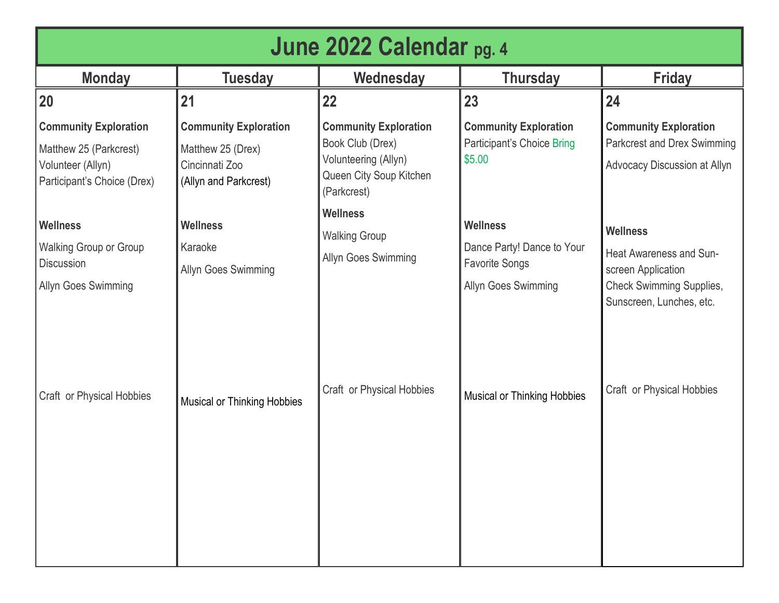| June 2022 Calendar <sub>pg. 4</sub>                                                                        |                                                                                              |                                                                                                                    |                                                                                               |                                                                                                                                 |
|------------------------------------------------------------------------------------------------------------|----------------------------------------------------------------------------------------------|--------------------------------------------------------------------------------------------------------------------|-----------------------------------------------------------------------------------------------|---------------------------------------------------------------------------------------------------------------------------------|
| <b>Monday</b>                                                                                              | <b>Tuesday</b>                                                                               | Wednesday                                                                                                          | <b>Thursday</b>                                                                               | <b>Friday</b>                                                                                                                   |
| 20                                                                                                         | 21                                                                                           | 22                                                                                                                 | 23                                                                                            | 24                                                                                                                              |
| <b>Community Exploration</b><br>Matthew 25 (Parkcrest)<br>Volunteer (Allyn)<br>Participant's Choice (Drex) | <b>Community Exploration</b><br>Matthew 25 (Drex)<br>Cincinnati Zoo<br>(Allyn and Parkcrest) | <b>Community Exploration</b><br>Book Club (Drex)<br>Volunteering (Allyn)<br>Queen City Soup Kitchen<br>(Parkcrest) | <b>Community Exploration</b><br>Participant's Choice Bring<br>\$5.00                          | <b>Community Exploration</b><br>Parkcrest and Drex Swimming<br>Advocacy Discussion at Allyn                                     |
| <b>Wellness</b><br><b>Walking Group or Group</b><br><b>Discussion</b><br>Allyn Goes Swimming               | <b>Wellness</b><br>Karaoke<br>Allyn Goes Swimming                                            | <b>Wellness</b><br><b>Walking Group</b><br>Allyn Goes Swimming                                                     | <b>Wellness</b><br>Dance Party! Dance to Your<br><b>Favorite Songs</b><br>Allyn Goes Swimming | <b>Wellness</b><br>Heat Awareness and Sun-<br>screen Application<br><b>Check Swimming Supplies,</b><br>Sunscreen, Lunches, etc. |
| Craft or Physical Hobbies                                                                                  | <b>Musical or Thinking Hobbies</b>                                                           | Craft or Physical Hobbies                                                                                          | <b>Musical or Thinking Hobbies</b>                                                            | Craft or Physical Hobbies                                                                                                       |